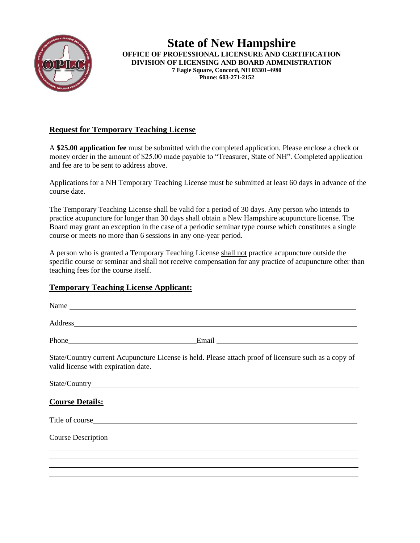

**State of New Hampshire OFFICE OF PROFESSIONAL LICENSURE AND CERTIFICATION DIVISION OF LICENSING AND BOARD ADMINISTRATION 7 Eagle Square, Concord, NH 03301-4980 Phone: 603-271-2152** 

## **Request for Temporary Teaching License**

A **\$25.00 application fee** must be submitted with the completed application. Please enclose a check or money order in the amount of \$25.00 made payable to "Treasurer, State of NH". Completed application and fee are to be sent to address above.

Applications for a NH Temporary Teaching License must be submitted at least 60 days in advance of the course date.

The Temporary Teaching License shall be valid for a period of 30 days. Any person who intends to practice acupuncture for longer than 30 days shall obtain a New Hampshire acupuncture license. The Board may grant an exception in the case of a periodic seminar type course which constitutes a single course or meets no more than 6 sessions in any one-year period.

A person who is granted a Temporary Teaching License shall not practice acupuncture outside the specific course or seminar and shall not receive compensation for any practice of acupuncture other than teaching fees for the course itself.

## **Temporary Teaching License Applicant:**

| Name                                                                                                                                         |
|----------------------------------------------------------------------------------------------------------------------------------------------|
|                                                                                                                                              |
|                                                                                                                                              |
| State/Country current Acupuncture License is held. Please attach proof of licensure such as a copy of<br>valid license with expiration date. |
|                                                                                                                                              |
| <b>Course Details:</b>                                                                                                                       |
|                                                                                                                                              |
| <b>Course Description</b>                                                                                                                    |
|                                                                                                                                              |
|                                                                                                                                              |
|                                                                                                                                              |